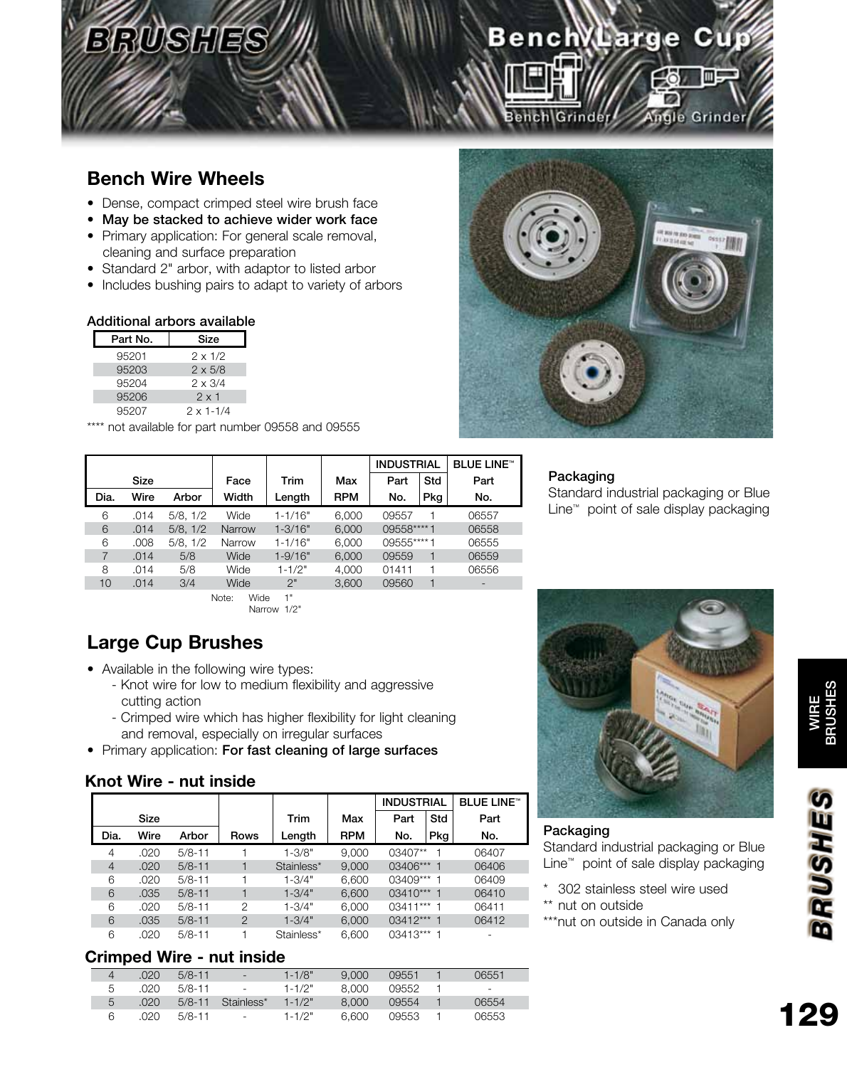## Bench Large Cup **Virgle Grinder** ench Grinde

## **Bench Wire Wheels**

- Dense, compact crimped steel wire brush face
- May be stacked to achieve wider work face
- Primary application: For general scale removal, cleaning and surface preparation
- Standard 2" arbor, with adaptor to listed arbor
- Includes bushing pairs to adapt to variety of arbors

### Additional arbors available

| Part No. | Size               |
|----------|--------------------|
| 95201    | $2 \times 1/2$     |
| 95203    | $2 \times 5/8$     |
| 95204    | $2 \times 3/4$     |
| 95206    | $2 \times 1$       |
| 95207    | $2 \times 1 - 1/4$ |

\*\*\*\* not available for part number 09558 and 09555



### Packaging

Standard industrial packaging or Blue Line™ point of sale display packaging

|      |             |          |               |             |            | <b>INDUSTRIAL</b> |     | <b>BLUE LINE™</b>            |
|------|-------------|----------|---------------|-------------|------------|-------------------|-----|------------------------------|
|      | <b>Size</b> |          | Face          | Trim        | Max        | Part              | Std | Part                         |
| Dia. | Wire        | Arbor    | Width         | Length      | <b>RPM</b> | No.               | Pkg | No.                          |
| 6    | .014        | 5/8.1/2  | Wide          | $1 - 1/16"$ | 6.000      | 09557             |     | 06557                        |
| 6    | .014        | 5/8.1/2  | <b>Narrow</b> | $1 - 3/16"$ | 6.000      | 09558****1        |     | 06558                        |
| 6    | .008        | 5/8, 1/2 | Narrow        | $1 - 1/16"$ | 6,000      | 09555****1        |     | 06555                        |
| 7    | .014        | 5/8      | Wide          | $1 - 9/16"$ | 6,000      | 09559             |     | 06559                        |
| 8    | .014        | 5/8      | Wide          | $1 - 1/2"$  | 4,000      | 01411             |     | 06556                        |
| 10   | .014        | 3/4      | Wide          | 2"          | 3.600      | 09560             |     | $\qquad \qquad \blacksquare$ |

Note: Wide 1" Narrow 1/2"

## **Large Cup Brushes**

• Available in the following wire types:

- Knot wire for low to medium flexibility and aggressive cutting action
- Crimped wire which has higher flexibility for light cleaning and removal, especially on irregular surfaces
- Primary application: For fast cleaning of large surfaces

### **Knot Wire - nut inside**

|                |      |            |                |            |            | <b>INDUSTRIAL</b> |     | <b>BLUE LINE™</b> |
|----------------|------|------------|----------------|------------|------------|-------------------|-----|-------------------|
|                | Size |            |                | Trim       | Max        | Part              | Std | Part              |
| Dia.           | Wire | Arbor      | Rows           | Length     | <b>RPM</b> | No.               | Pkg | No.               |
| 4              | .020 | $5/8 - 11$ |                | $1 - 3/8"$ | 9.000      | $03407**$         |     | 06407             |
| $\overline{4}$ | .020 | $5/8 - 11$ |                | Stainless* | 9.000      | 03406*** 1        |     | 06406             |
| 6              | .020 | $5/8 - 11$ |                | $1 - 3/4"$ | 6.600      | $03409***$ 1      |     | 06409             |
| 6              | .035 | $5/8 - 11$ |                | $1 - 3/4"$ | 6,600      | 03410*** 1        |     | 06410             |
| 6              | .020 | $5/8 - 11$ | $\mathcal{P}$  | $1 - 3/4"$ | 6,000      | 03411*** 1        |     | 06411             |
| 6              | .035 | $5/8 - 11$ | $\overline{2}$ | $1 - 3/4"$ | 6,000      | 03412*** 1        |     | 06412             |
| 6              | .020 | $5/8 - 11$ |                | Stainless* | 6.600      | $03413***$        |     |                   |

#### **Crimped Wire - nut inside**

|   | .020 | $5/8 - 11$ | æ.         | $1 - 1/8"$  | 9.000 | 09551 | 06551  |
|---|------|------------|------------|-------------|-------|-------|--------|
| 5 | .020 | $5/8 - 11$ | $\sim$     | $1 - 1/2"$  | 8.000 | 09552 | $\sim$ |
| 5 | .020 | $5/8 - 11$ | Stainless* | $1 - 1/2$ " | 8.000 | 09554 | 06554  |
| 6 | .020 | $5/8 - 11$ | $\sim$     | $1 - 1/2"$  | 6.600 | 09553 | 06553  |



#### Packaging

Standard industrial packaging or Blue Line™ point of sale display packaging

- \* 302 stainless steel wire used
- \*\* nut on outside
- \*\*\*nut on outside in Canada only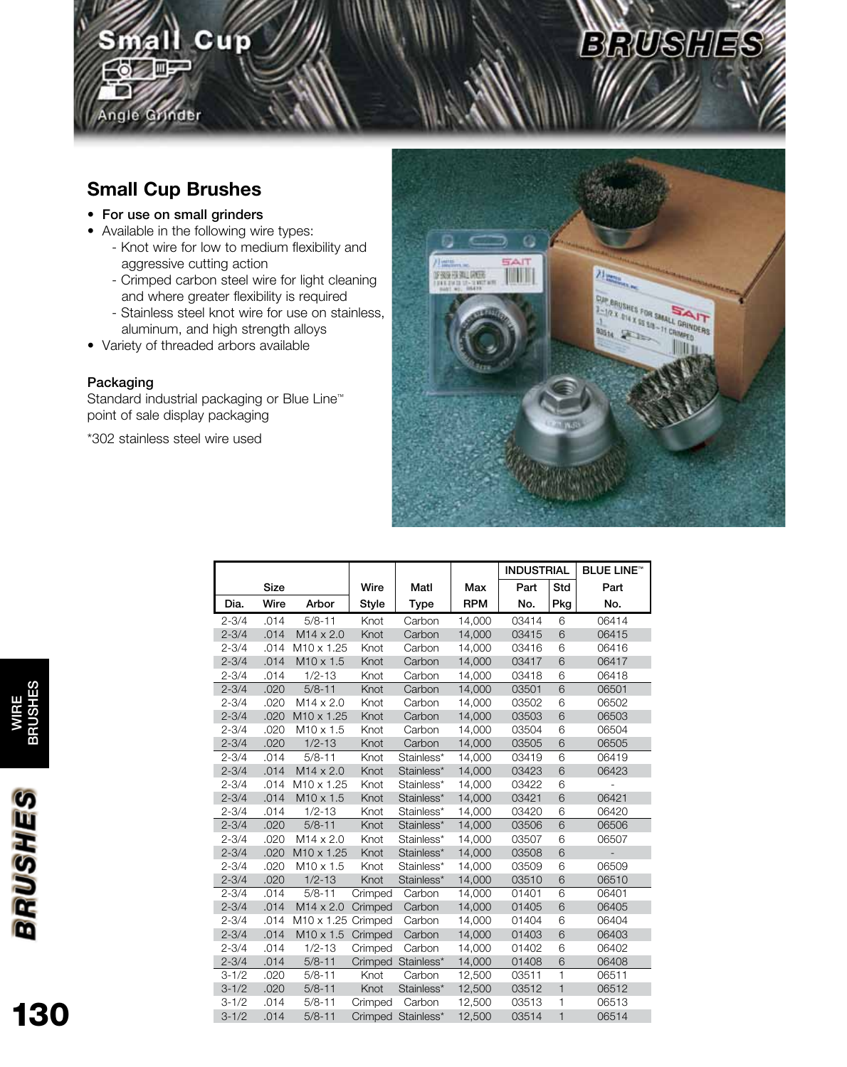## Small Cup **in** ingle Grinder

## **Small Cup Brushes**

- For use on small grinders
- Available in the following wire types:
	- Knot wire for low to medium flexibility and aggressive cutting action
	- Crimped carbon steel wire for light cleaning and where greater flexibility is required
	- Stainless steel knot wire for use on stainless, aluminum, and high strength alloys
- Variety of threaded arbors available

### Packaging

Standard industrial packaging or Blue Line™ point of sale display packaging

\*302 stainless steel wire used



**BRUSHES** 

|           |      |                        |         |                    |            | <b>INDUSTRIAL</b> |              | <b>BLUE LINE™</b> |
|-----------|------|------------------------|---------|--------------------|------------|-------------------|--------------|-------------------|
|           | Size |                        | Wire    | Matl               | Max        | Part              | Std          | Part              |
| Dia.      | Wire | Arbor                  | Style   | <b>Type</b>        | <b>RPM</b> | No.               | Pkg          | No.               |
| $2 - 3/4$ | .014 | $5/8 - 11$             | Knot    | Carbon             | 14,000     | 03414             | 6            | 06414             |
| $2 - 3/4$ | .014 | $M14 \times 2.0$       | Knot    | Carbon             | 14,000     | 03415             | 6            | 06415             |
| $2 - 3/4$ | .014 | M <sub>10</sub> x 1.25 | Knot    | Carbon             | 14,000     | 03416             | 6            | 06416             |
| $2 - 3/4$ | .014 | M10 x 1.5              | Knot    | Carbon             | 14,000     | 03417             | 6            | 06417             |
| $2 - 3/4$ | .014 | $1/2 - 13$             | Knot    | Carbon             | 14,000     | 03418             | 6            | 06418             |
| $2 - 3/4$ | .020 | $5/8 - 11$             | Knot    | Carbon             | 14,000     | 03501             | 6            | 06501             |
| $2 - 3/4$ | .020 | $M14 \times 2.0$       | Knot    | Carbon             | 14,000     | 03502             | 6            | 06502             |
| $2 - 3/4$ | .020 | M <sub>10</sub> x 1.25 | Knot    | Carbon             | 14.000     | 03503             | 6            | 06503             |
| $2 - 3/4$ | .020 | $M10 \times 1.5$       | Knot    | Carbon             | 14,000     | 03504             | 6            | 06504             |
| $2 - 3/4$ | .020 | $1/2 - 13$             | Knot    | Carbon             | 14,000     | 03505             | 6            | 06505             |
| $2 - 3/4$ | .014 | $5/8 - 11$             | Knot    | Stainless*         | 14,000     | 03419             | 6            | 06419             |
| $2 - 3/4$ | .014 | $M14 \times 2.0$       | Knot    | Stainless*         | 14,000     | 03423             | 6            | 06423             |
| $2 - 3/4$ | .014 | M <sub>10</sub> x 1.25 | Knot    | Stainless*         | 14,000     | 03422             | 6            |                   |
| $2 - 3/4$ | .014 | M <sub>10</sub> x 1.5  | Knot    | Stainless*         | 14,000     | 03421             | 6            | 06421             |
| $2 - 3/4$ | .014 | $1/2 - 13$             | Knot    | Stainless*         | 14,000     | 03420             | 6            | 06420             |
| $2 - 3/4$ | .020 | $5/8 - 11$             | Knot    | Stainless*         | 14,000     | 03506             | 6            | 06506             |
| $2 - 3/4$ | .020 | $M14 \times 2.0$       | Knot    | Stainless*         | 14,000     | 03507             | 6            | 06507             |
| $2 - 3/4$ | .020 | M <sub>10</sub> x 1.25 | Knot    | Stainless*         | 14,000     | 03508             | 6            |                   |
| $2 - 3/4$ | .020 | M <sub>10</sub> x 1.5  | Knot    | Stainless*         | 14,000     | 03509             | 6            | 06509             |
| $2 - 3/4$ | .020 | $1/2 - 13$             | Knot    | Stainless*         | 14,000     | 03510             | 6            | 06510             |
| $2 - 3/4$ | .014 | $5/8 - 11$             | Crimped | Carbon             | 14,000     | 01401             | 6            | 06401             |
| $2 - 3/4$ | .014 | $M14 \times 2.0$       | Crimped | Carbon             | 14,000     | 01405             | 6            | 06405             |
| $2 - 3/4$ | .014 | M10 x 1.25 Crimped     |         | Carbon             | 14,000     | 01404             | 6            | 06404             |
| $2 - 3/4$ | .014 | $M10 \times 1.5$       | Crimped | Carbon             | 14,000     | 01403             | 6            | 06403             |
| $2 - 3/4$ | .014 | $1/2 - 13$             | Crimped | Carbon             | 14,000     | 01402             | 6            | 06402             |
| $2 - 3/4$ | .014 | $5/8 - 11$             |         | Crimped Stainless* | 14,000     | 01408             | 6            | 06408             |
| $3 - 1/2$ | .020 | $5/8 - 11$             | Knot    | Carbon             | 12,500     | 03511             | 1            | 06511             |
| $3 - 1/2$ | .020 | $5/8 - 11$             | Knot    | Stainless*         | 12,500     | 03512             | $\mathbf{1}$ | 06512             |
| $3 - 1/2$ | .014 | $5/8 - 11$             | Crimped | Carbon             | 12,500     | 03513             | 1            | 06513             |
| $3 - 1/2$ | .014 | $5/8 - 11$             |         | Crimped Stainless* | 12.500     | 03514             | $\mathbf{1}$ | 06514             |

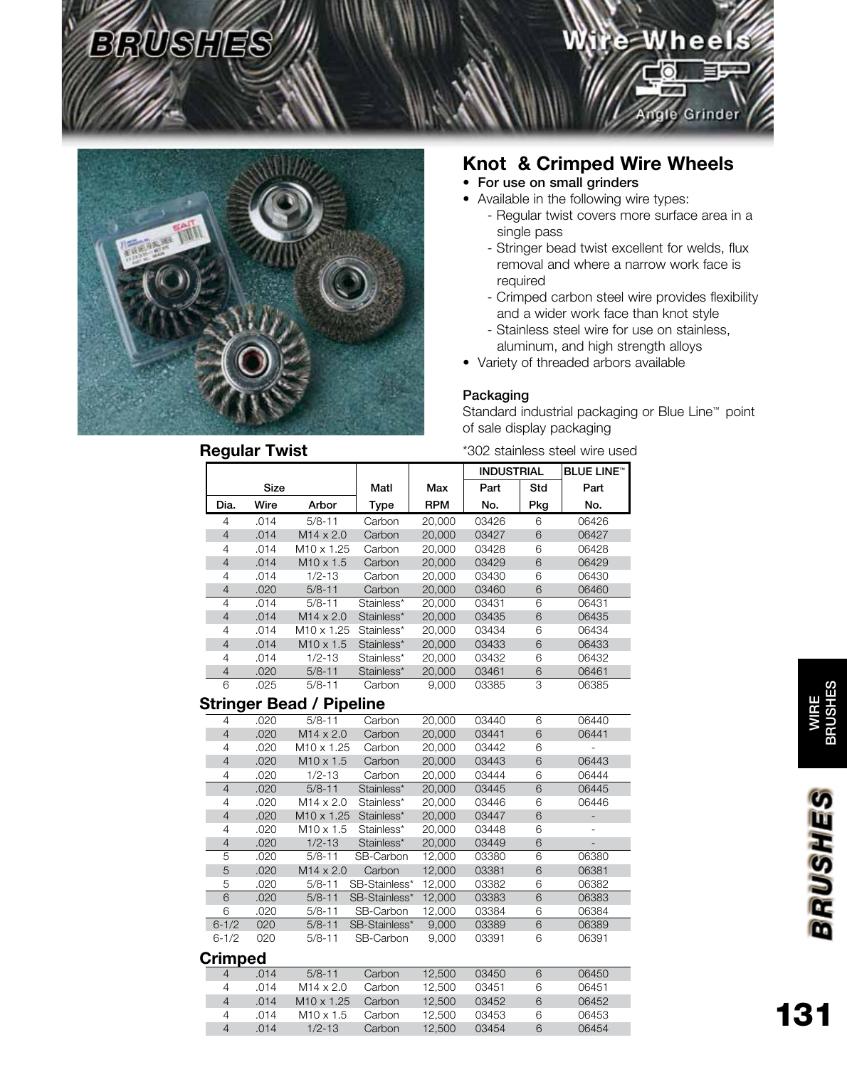

## **Knot & Crimped Wire Wheels**

- For use on small grinders
- Available in the following wire types:
	- Regular twist covers more surface area in a single pass

Vire Wheels

le Grinder

- Stringer bead twist excellent for welds, flux removal and where a narrow work face is required
- Crimped carbon steel wire provides flexibility and a wider work face than knot style
- Stainless steel wire for use on stainless, aluminum, and high strength alloys
- Variety of threaded arbors available

#### Packaging

Standard industrial packaging or Blue Line™ point of sale display packaging

\*302 stainless steel wire used

|                |      |                   |            |            | <b>INDUSTRIAL</b> |     | <b>BLUE LINE™</b> |
|----------------|------|-------------------|------------|------------|-------------------|-----|-------------------|
|                | Size |                   | Matl       | Max        | Part              | Std | Part              |
| Dia.           | Wire | Arbor             | Type       | <b>RPM</b> | No.               | Pkg | No.               |
| $\overline{4}$ | .014 | $5/8 - 11$        | Carbon     | 20,000     | 03426             | 6   | 06426             |
| $\overline{4}$ | .014 | $M14 \times 2.0$  | Carbon     | 20,000     | 03427             | 6   | 06427             |
| 4              | .014 | $M10 \times 1.25$ | Carbon     | 20,000     | 03428             | 6   | 06428             |
| $\overline{4}$ | .014 | $M10 \times 1.5$  | Carbon     | 20,000     | 03429             | 6   | 06429             |
| 4              | .014 | $1/2 - 13$        | Carbon     | 20,000     | 03430             | 6   | 06430             |
| $\overline{4}$ | .020 | $5/8 - 11$        | Carbon     | 20,000     | 03460             | 6   | 06460             |
| 4              | .014 | $5/8 - 11$        | Stainless* | 20,000     | 03431             | 6   | 06431             |
| $\overline{4}$ | .014 | $M14 \times 2.0$  | Stainless* | 20,000     | 03435             | 6   | 06435             |
| 4              | .014 | $M10 \times 1.25$ | Stainless* | 20,000     | 03434             | 6   | 06434             |
| 4              | .014 | $M10 \times 1.5$  | Stainless* | 20,000     | 03433             | 6   | 06433             |
| 4              | .014 | $1/2 - 13$        | Stainless* | 20,000     | 03432             | 6   | 06432             |
| $\overline{4}$ | .020 | $5/8 - 11$        | Stainless* | 20,000     | 03461             | 6   | 06461             |
| 6              | .025 | $5/8 - 11$        | Carbon     | 9.000      | 03385             | 3   | 06385             |

### **Stringer Bead / Pipeline**

| 4              | .020 | $5/8 - 11$             | Carbon        | 20,000 | 03440 | 6 | 06440 |
|----------------|------|------------------------|---------------|--------|-------|---|-------|
| $\overline{4}$ | .020 | $M14 \times 2.0$       | Carbon        | 20,000 | 03441 | 6 | 06441 |
| 4              | .020 | $M10 \times 1.25$      | Carbon        | 20,000 | 03442 | 6 |       |
| $\overline{4}$ | .020 | $M10 \times 1.5$       | Carbon        | 20,000 | 03443 | 6 | 06443 |
| 4              | .020 | $1/2 - 13$             | Carbon        | 20,000 | 03444 | 6 | 06444 |
| 4              | .020 | $5/8 - 11$             | Stainless*    | 20,000 | 03445 | 6 | 06445 |
| 4              | .020 | $M14 \times 2.0$       | Stainless*    | 20,000 | 03446 | 6 | 06446 |
| $\overline{4}$ | .020 | M <sub>10</sub> x 1.25 | Stainless*    | 20,000 | 03447 | 6 |       |
| 4              | .020 | $M10 \times 1.5$       | Stainless*    | 20,000 | 03448 | 6 |       |
| 4              | .020 | $1/2 - 13$             | Stainless*    | 20,000 | 03449 | 6 |       |
| 5              | .020 | $5/8 - 11$             | SB-Carbon     | 12,000 | 03380 | 6 | 06380 |
| 5              | .020 | $M14 \times 2.0$       | Carbon        | 12,000 | 03381 | 6 | 06381 |
| 5              | .020 | $5/8 - 11$             | SB-Stainless* | 12,000 | 03382 | 6 | 06382 |
| 6              | .020 | $5/8 - 11$             | SB-Stainless* | 12,000 | 03383 | 6 | 06383 |
| 6              | .020 | $5/8 - 11$             | SB-Carbon     | 12,000 | 03384 | 6 | 06384 |
| $6 - 1/2$      | 020  | $5/8 - 11$             | SB-Stainless* | 9,000  | 03389 | 6 | 06389 |
| $6 - 1/2$      | 020  | $5/8 - 11$             | SB-Carbon     | 9.000  | 03391 | 6 | 06391 |

### **Crimped**

|   | .014 | $5/8 - 11$        | Carbon | 12.500 | 03450 | 6 | 06450 |
|---|------|-------------------|--------|--------|-------|---|-------|
| 4 | .014 | $M14 \times 2.0$  | Carbon | 12.500 | 03451 | 6 | 06451 |
| 4 | .014 | $M10 \times 1.25$ | Carbon | 12.500 | 03452 | 6 | 06452 |
| 4 | .014 | $M10 \times 1.5$  | Carbon | 12.500 | 03453 | 6 | 06453 |
| 4 | .014 | $1/2 - 13$        | Carbon | 12.500 | 03454 | 6 | 06454 |
|   |      |                   |        |        |       |   |       |

131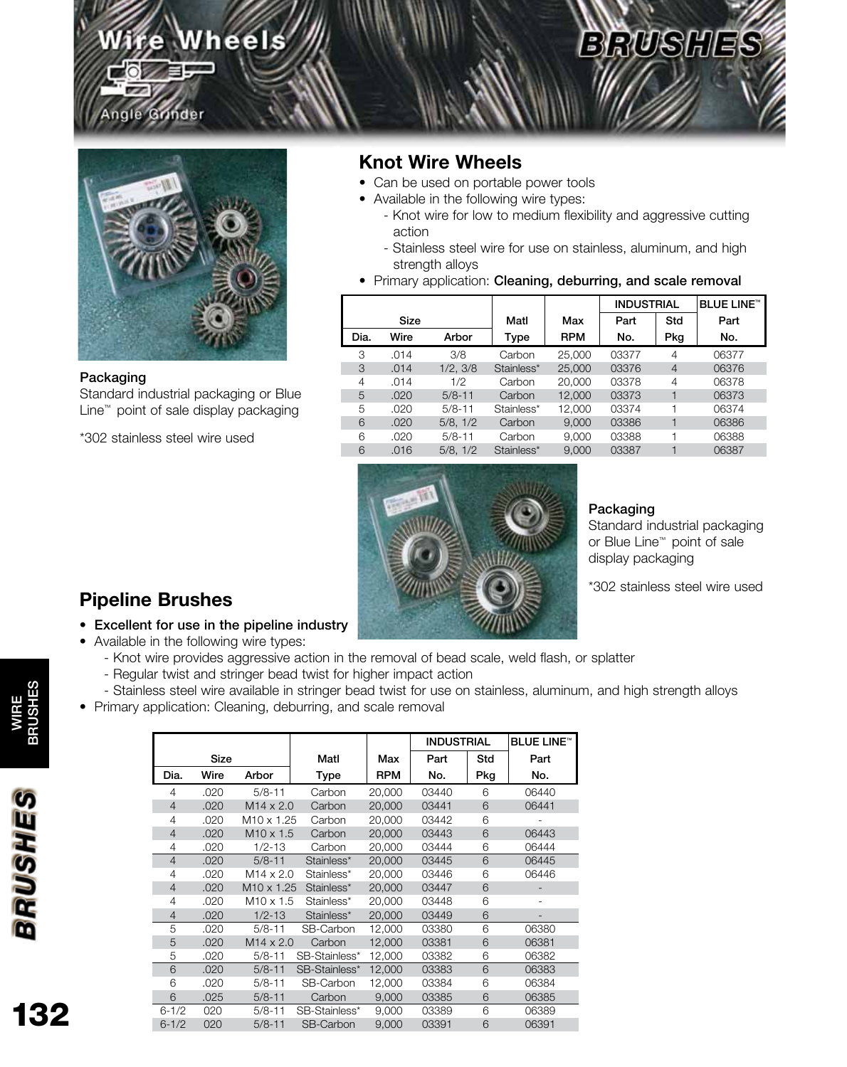## Wheels

## **BRUSHES**



Grinder

#### Packaging

Standard industrial packaging or Blue Line™ point of sale display packaging

\*302 stainless steel wire used

### **Knot Wire Wheels**

- Can be used on portable power tools
- Available in the following wire types:
	- Knot wire for low to medium flexibility and aggressive cutting action
	- Stainless steel wire for use on stainless, aluminum, and high strength alloys
- Primary application: Cleaning, deburring, and scale removal

|      |             |            |            | <b>INDUSTRIAL</b> |       | <b>BLUE LINE™</b> |       |
|------|-------------|------------|------------|-------------------|-------|-------------------|-------|
|      | <b>Size</b> |            | Matl       | Max               | Part  | Std               | Part  |
| Dia. | Wire        | Arbor      | Type       | <b>RPM</b>        | No.   | Pkg               | No.   |
| 3    | .014        | 3/8        | Carbon     | 25,000            | 03377 | 4                 | 06377 |
| 3    | .014        | 1/2, 3/8   | Stainless* | 25,000            | 03376 | $\overline{4}$    | 06376 |
| 4    | .014        | 1/2        | Carbon     | 20,000            | 03378 | 4                 | 06378 |
| 5    | .020        | $5/8 - 11$ | Carbon     | 12,000            | 03373 |                   | 06373 |
| 5    | .020        | $5/8 - 11$ | Stainless* | 12,000            | 03374 | ⊣                 | 06374 |
| 6    | .020        | 5/8, 1/2   | Carbon     | 9,000             | 03386 |                   | 06386 |
| 6    | .020        | $5/8 - 11$ | Carbon     | 9.000             | 03388 |                   | 06388 |
| 6    | .016        | 5/8, 1/2   | Stainless* | 9.000             | 03387 |                   | 06387 |



### Packaging

Standard industrial packaging or Blue Line™ point of sale display packaging

\*302 stainless steel wire used

## **Pipeline Brushes**

- Excellent for use in the pipeline industry
- Available in the following wire types:
	- Knot wire provides aggressive action in the removal of bead scale, weld flash, or splatter
	- Regular twist and stringer bead twist for higher impact action
	- Stainless steel wire available in stringer bead twist for use on stainless, aluminum, and high strength alloys
- Primary application: Cleaning, deburring, and scale removal

|                |      |                        |               |            | <b>INDUSTRIAL</b> |     | <b>BLUE LINE™</b> |
|----------------|------|------------------------|---------------|------------|-------------------|-----|-------------------|
|                | Size |                        | Matl          | Max        | Part              | Std | Part              |
| Dia.           | Wire | Arbor                  | Type          | <b>RPM</b> | No.               | Pkg | No.               |
| 4              | .020 | $5/8 - 11$             | Carbon        | 20,000     | 03440             | 6   | 06440             |
| 4              | .020 | $M14 \times 2.0$       | Carbon        | 20,000     | 03441             | 6   | 06441             |
| 4              | .020 | M <sub>10</sub> x 1.25 | Carbon        | 20,000     | 03442             | 6   |                   |
| 4              | .020 | $M10 \times 1.5$       | Carbon        | 20,000     | 03443             | 6   | 06443             |
| 4              | .020 | $1/2 - 13$             | Carbon        | 20,000     | 03444             | 6   | 06444             |
| $\overline{4}$ | .020 | $5/8 - 11$             | Stainless*    | 20,000     | 03445             | 6   | 06445             |
| 4              | .020 | $M14 \times 2.0$       | Stainless*    | 20,000     | 03446             | 6   | 06446             |
| 4              | .020 | M <sub>10</sub> x 1.25 | Stainless*    | 20,000     | 03447             | 6   |                   |
| 4              | .020 | $M10 \times 1.5$       | Stainless*    | 20,000     | 03448             | 6   |                   |
| 4              | .020 | $1/2 - 13$             | Stainless*    | 20,000     | 03449             | 6   |                   |
| 5              | .020 | $5/8 - 11$             | SB-Carbon     | 12,000     | 03380             | 6   | 06380             |
| 5              | .020 | $M14 \times 2.0$       | Carbon        | 12,000     | 03381             | 6   | 06381             |
| 5              | .020 | $5/8 - 11$             | SB-Stainless* | 12,000     | 03382             | 6   | 06382             |
| 6              | .020 | $5/8 - 11$             | SB-Stainless* | 12,000     | 03383             | 6   | 06383             |
| 6              | .020 | $5/8 - 11$             | SB-Carbon     | 12,000     | 03384             | 6   | 06384             |
| 6              | .025 | $5/8 - 11$             | Carbon        | 9,000      | 03385             | 6   | 06385             |
| $6 - 1/2$      | 020  | $5/8 - 11$             | SB-Stainless* | 9,000      | 03389             | 6   | 06389             |
| $6 - 1/2$      | 020  | $5/8 - 11$             | SB-Carbon     | 9,000      | 03391             | 6   | 06391             |



132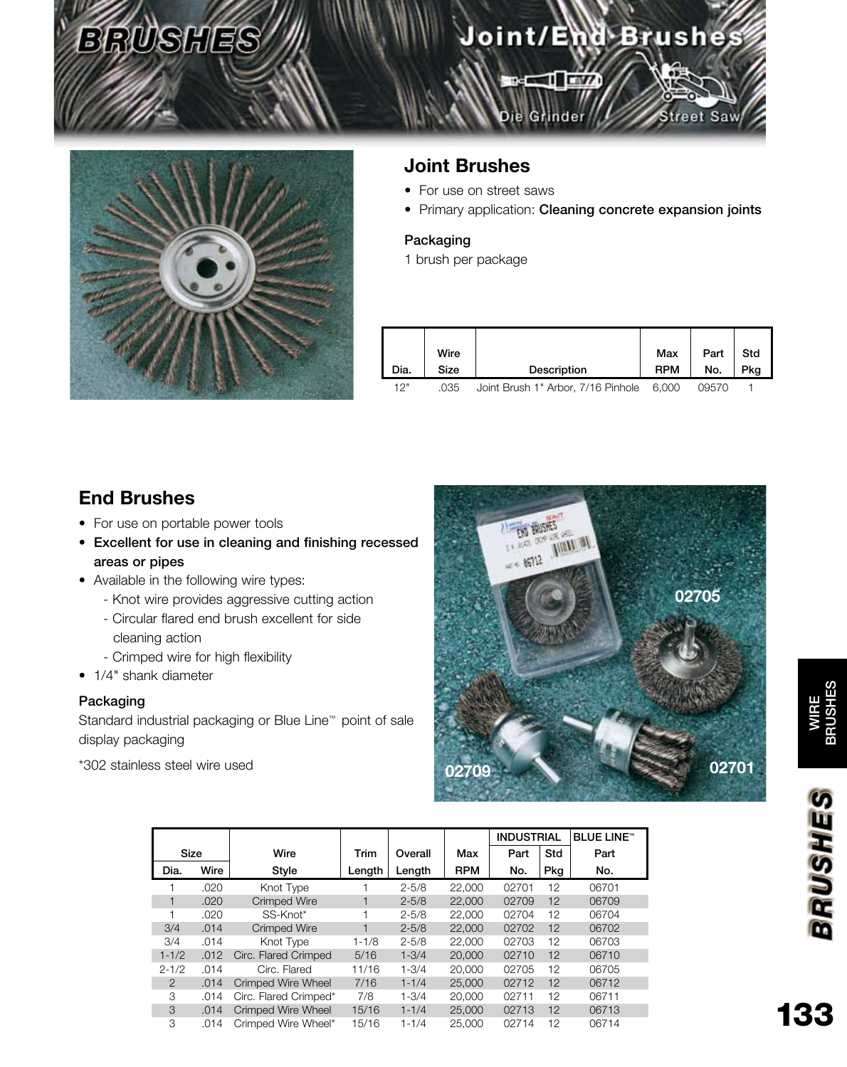## Joint/End Brushes

treet Saw

Die Grinder

 $=$   $\sqrt{1-x}$ 



## **Joint Brushes**

- For use on street saws
- Primary application: Cleaning concrete expansion joints

### Packaging

1 brush per package

| Dia. | Wire<br>Size | Description                        | Max<br><b>RPM</b> | Part<br>No. | Std<br>Pkg |
|------|--------------|------------------------------------|-------------------|-------------|------------|
| 12"  | .035         | Joint Brush 1" Arbor, 7/16 Pinhole | 6.000             | N957N       |            |

## **End Brushes**

- For use on portable power tools
- Excellent for use in cleaning and finishing recessed areas or pipes
- Available in the following wire types:
	- Knot wire provides aggressive cutting action
	- Circular flared end brush excellent for side cleaning action
	- Crimped wire for high flexibility
- 1/4" shank diameter

### Packaging

Standard industrial packaging or Blue Line™ point of sale display packaging

\*302 stainless steel wire used



|                |      |                           |           |           |            | <b>INDUSTRIAL</b> |       | <b>BLUE LINE™</b> |
|----------------|------|---------------------------|-----------|-----------|------------|-------------------|-------|-------------------|
| Size           |      | Wire                      | Trim      | Overall   | Max        | Part              | Std   | Part              |
| Dia.           | Wire | Style                     | Length    | Length    | <b>RPM</b> | No.               | . Pkg | No.               |
|                | .020 | Knot Type                 |           | $2 - 5/8$ | 22,000     | 02701             | 12    | 06701             |
|                | .020 | <b>Crimped Wire</b>       | 1         | $2 - 5/8$ | 22,000     | 02709             | 12    | 06709             |
|                | .020 | SS-Knot*                  |           | $2 - 5/8$ | 22,000     | 02704             | 12    | 06704             |
| 3/4            | .014 | Crimped Wire              |           | $2 - 5/8$ | 22,000     | 02702             | 12    | 06702             |
| 3/4            | .014 | Knot Type                 | $1 - 1/8$ | $2 - 5/8$ | 22,000     | 02703             | 12    | 06703             |
| $1 - 1/2$      | .012 | Circ. Flared Crimped      | 5/16      | $1 - 3/4$ | 20,000     | 02710             | 12    | 06710             |
| $2 - 1/2$      | .014 | Circ. Flared              | 11/16     | $1 - 3/4$ | 20,000     | 02705             | 12    | 06705             |
| $\overline{2}$ | .014 | Crimped Wire Wheel        | 7/16      | $1 - 1/4$ | 25,000     | 02712             | 12    | 06712             |
| 3              | .014 | Circ. Flared Crimped*     | 7/8       | $1 - 3/4$ | 20,000     | 02711             | 12    | 06711             |
| 3              | .014 | <b>Crimped Wire Wheel</b> | 15/16     | $1 - 1/4$ | 25,000     | 02713             | 12    | 06713             |
| 3              | .014 | Crimped Wire Wheel*       | 15/16     | $1 - 1/4$ | 25,000     | 02714             | 12    | 06714             |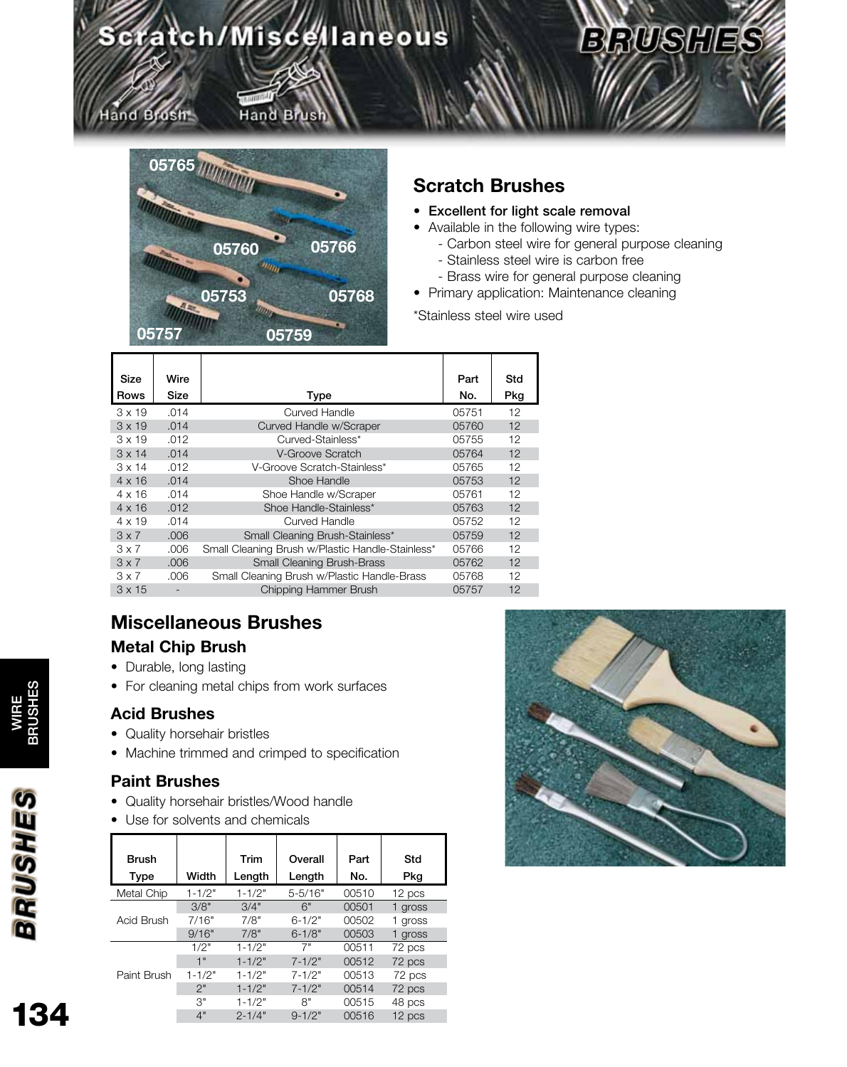## Scratch/Miscellaneous

## Hand Brush

Hand Brush



## **Scratch Brushes**

- Excellent for light scale removal
- Available in the following wire types:
	- Carbon steel wire for general purpose cleaning

**BRUSHES** 

- Stainless steel wire is carbon free
- Brass wire for general purpose cleaning
- Primary application: Maintenance cleaning

\*Stainless steel wire used

| Size<br><b>Rows</b> | Wire<br>Size | Type                                             | Part<br>No. | Std<br>Pkg |
|---------------------|--------------|--------------------------------------------------|-------------|------------|
| $3 \times 19$       | .014         | Curved Handle                                    | 05751       | 12         |
| $3 \times 19$       | .014         | Curved Handle w/Scraper                          | 05760       | 12         |
| $3 \times 19$       | .012         | Curved-Stainless*                                | 05755       | 12         |
| $3 \times 14$       | .014         | V-Groove Scratch                                 | 05764       | 12         |
| $3 \times 14$       | .012         | V-Groove Scratch-Stainless*                      | 05765       | 12         |
| $4 \times 16$       | .014         | Shoe Handle                                      | 05753       | 12         |
| $4 \times 16$       | .014         | Shoe Handle w/Scraper                            | 05761       | 12         |
| $4 \times 16$       | .012         | Shoe Handle-Stainless*                           | 05763       | 12         |
| $4 \times 19$       | .014         | Curved Handle                                    | 05752       | 12         |
| $3 \times 7$        | .006         | Small Cleaning Brush-Stainless*                  | 05759       | 12         |
| $3 \times 7$        | .006         | Small Cleaning Brush w/Plastic Handle-Stainless* | 05766       | 12         |
| $3 \times 7$        | .006         | <b>Small Cleaning Brush-Brass</b>                | 05762       | 12         |
| $3 \times 7$        | .006         | Small Cleaning Brush w/Plastic Handle-Brass      | 05768       | 12         |
| $3 \times 15$       | -            | Chipping Hammer Brush                            | 05757       | 12         |
|                     |              |                                                  |             |            |

## **Miscellaneous Brushes**

### **Metal Chip Brush**

- Durable, long lasting
- For cleaning metal chips from work surfaces

### **Acid Brushes**

- Quality horsehair bristles
- Machine trimmed and crimped to specification

## **Paint Brushes**

- Quality horsehair bristles/Wood handle
- Use for solvents and chemicals

| <b>Brush</b><br>Type | Width      | Trim<br>Length | Overall<br>Length | Part<br>No. | Std<br>Pkg |
|----------------------|------------|----------------|-------------------|-------------|------------|
| Metal Chip           | $1 - 1/2"$ | $1 - 1/2"$     | $5 - 5/16"$       | 00510       | 12 pcs     |
|                      | 3/8"       | 3/4"           | 6"                | 00501       | 1 gross    |
| Acid Brush           | 7/16"      | 7/8"           | $6 - 1/2"$        | 00502       | 1 gross    |
|                      | 9/16"      | 7/8"           | $6 - 1/8"$        | 00503       | 1 gross    |
|                      | 1/2"       | $1 - 1/2"$     | 7"                | 00511       | 72 pcs     |
|                      | 1"         | $1 - 1/2"$     | $7 - 1/2"$        | 00512       | 72 pcs     |
| Paint Brush          | $1 - 1/2"$ | $1 - 1/2"$     | $7 - 1/2"$        | 00513       | 72 pcs     |
|                      | 2"         | $1 - 1/2"$     | $7 - 1/2"$        | 00514       | 72 pcs     |
|                      | 3"         | $1 - 1/2"$     | 8"                | 00515       | 48 pcs     |
|                      | 4"         | $2 - 1/4"$     | $9 - 1/2"$        | 00516       | 12 pcs     |



WIRE<br>BRUSHE BRUSHES